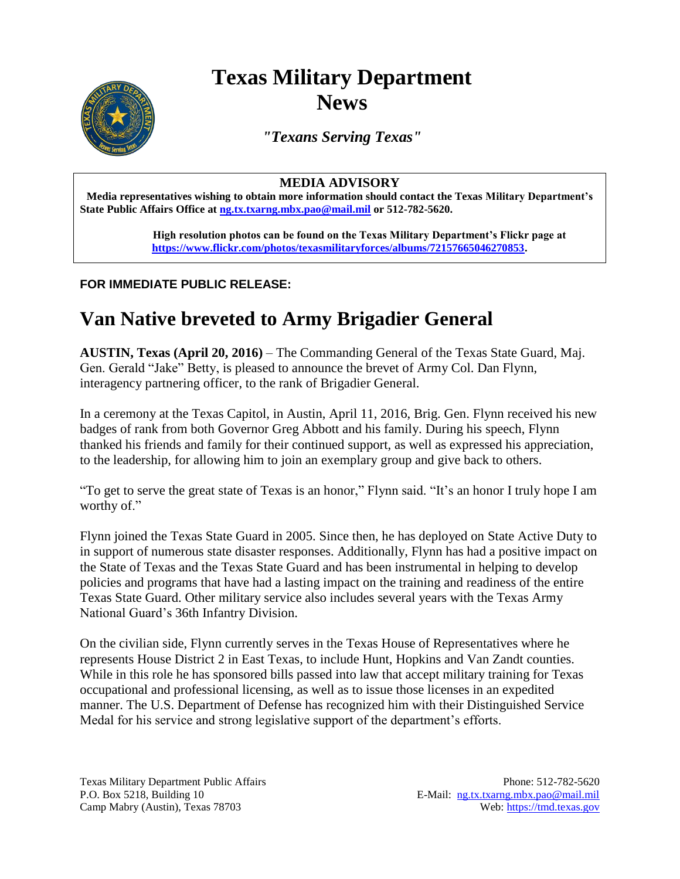# **Texas Military Department News**

*"Texans Serving Texas"*

### **MEDIA ADVISORY**

**Media representatives wishing to obtain more information should contact the Texas Military Department's State Public Affairs Office at [ng.tx.txarng.mbx.pao@mail.mil](mailto:ng.tx.txarng.mbx.pao@mail.mil) or 512-782-5620.**

> **High resolution photos can be found on the Texas Military Department's Flickr page at [https://www.flickr.com/photos/texasmilitaryforces/albums/72157665046270853.](https://www.flickr.com/photos/texasmilitaryforces/albums/72157665046270853)**

### **FOR IMMEDIATE PUBLIC RELEASE:**

## **Van Native breveted to Army Brigadier General**

**AUSTIN, Texas (April 20, 2016)** – The Commanding General of the Texas State Guard, Maj. Gen. Gerald "Jake" Betty, is pleased to announce the brevet of Army Col. Dan Flynn, interagency partnering officer, to the rank of Brigadier General.

In a ceremony at the Texas Capitol, in Austin, April 11, 2016, Brig. Gen. Flynn received his new badges of rank from both Governor Greg Abbott and his family. During his speech, Flynn thanked his friends and family for their continued support, as well as expressed his appreciation, to the leadership, for allowing him to join an exemplary group and give back to others.

"To get to serve the great state of Texas is an honor," Flynn said. "It's an honor I truly hope I am worthy of."

Flynn joined the Texas State Guard in 2005. Since then, he has deployed on State Active Duty to in support of numerous state disaster responses. Additionally, Flynn has had a positive impact on the State of Texas and the Texas State Guard and has been instrumental in helping to develop policies and programs that have had a lasting impact on the training and readiness of the entire Texas State Guard. Other military service also includes several years with the Texas Army National Guard's 36th Infantry Division.

On the civilian side, Flynn currently serves in the Texas House of Representatives where he represents House District 2 in East Texas, to include Hunt, Hopkins and Van Zandt counties. While in this role he has sponsored bills passed into law that accept military training for Texas occupational and professional licensing, as well as to issue those licenses in an expedited manner. The U.S. Department of Defense has recognized him with their Distinguished Service Medal for his service and strong legislative support of the department's efforts.

Texas Military Department Public Affairs Phone: 512-782-5620 P.O. Box 5218, Building 10 E-Mail: [ng.tx.txarng.mbx.pao@mail.mil](mailto:ng.tx.txarng.mbx.pao@mail.mil) Camp Mabry (Austin), Texas 78703 Web: [https://tmd.texas.gov](https://tmd.texas.gov/)